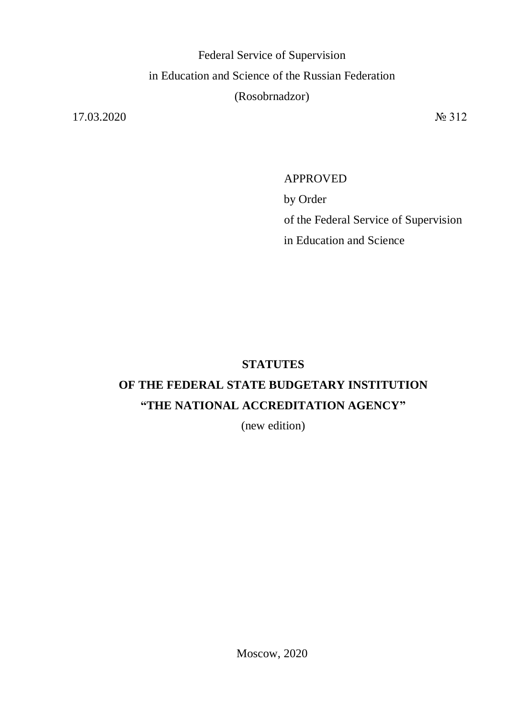Federal Service of Supervision in Education and Science of the Russian Federation (Rosobrnadzor)

17.03.2020 № 312

# APPROVED by Order of the Federal Service of Supervision in Education and Science

### **STATUTES**

## **OF THE FEDERAL STATE BUDGETARY INSTITUTION "THE NATIONAL ACCREDITATION AGENCY"**

(new edition)

Moscow, 2020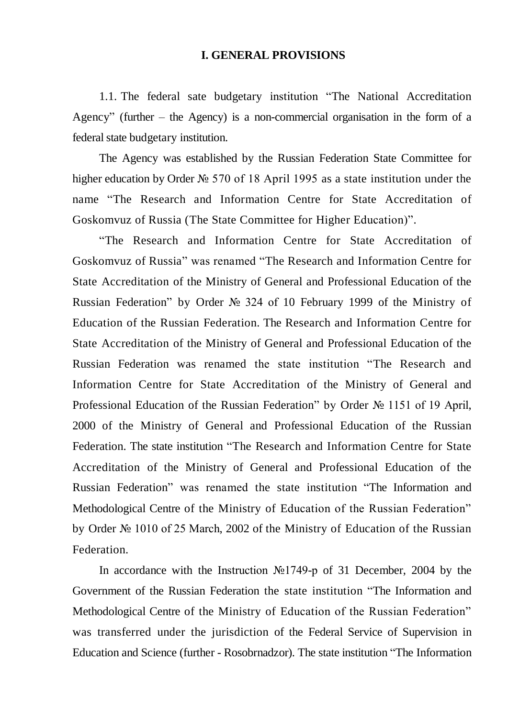#### **I. GENERAL PROVISIONS**

1.1. The federal sate budgetary institution "The National Accreditation Agency" (further – the Agency) is a non-commercial organisation in the form of a federal state budgetary institution.

The Agency was established by the Russian Federation State Committee for higher education by Order № 570 of 18 April 1995 as a state institution under the name "The Research and Information Centre for State Accreditation of Goskomvuz of Russia (The State Committee for Higher Education)".

"The Research and Information Centre for State Accreditation of Goskomvuz of Russia" was renamed "The Research and Information Centre for State Accreditation of the Ministry of General and Professional Education of the Russian Federation" by Order № 324 of 10 February 1999 of the Ministry of Education of the Russian Federation. The Research and Information Centre for State Accreditation of the Ministry of General and Professional Education of the Russian Federation was renamed the state institution "The Research and Information Centre for State Accreditation of the Ministry of General and Professional Education of the Russian Federation" by Order № 1151 of 19 April, 2000 of the Ministry of General and Professional Education of the Russian Federation. The state institution "The Research and Information Centre for State Accreditation of the Ministry of General and Professional Education of the Russian Federation" was renamed the state institution "The Information and Methodological Centre of the Ministry of Education of the Russian Federation" by Order № 1010 of 25 March, 2002 of the Ministry of Education of the Russian Federation.

In accordance with the Instruction №1749-р of 31 December, 2004 by the Government of the Russian Federation the state institution "The Information and Methodological Centre of the Ministry of Education of the Russian Federation" was transferred under the jurisdiction of the Federal Service of Supervision in Education and Science (further - Rosobrnadzor). The state institution "The Information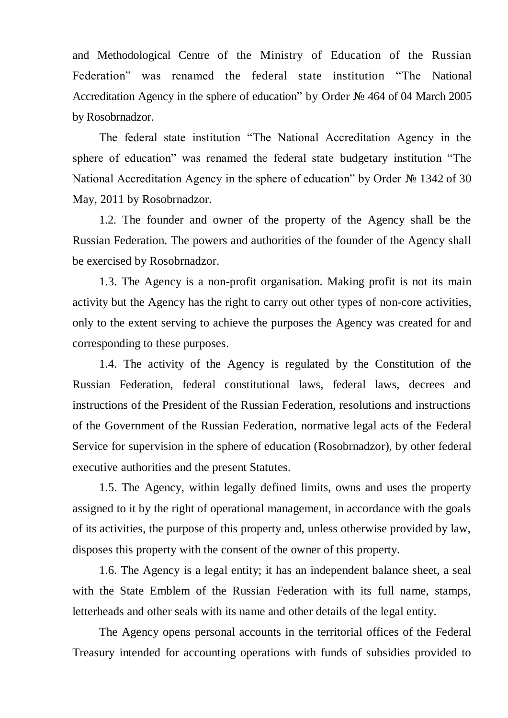and Methodological Centre of the Ministry of Education of the Russian Federation" was renamed the federal state institution "The National Accreditation Agency in the sphere of education" by Order № 464 of 04 March 2005 by Rosobrnadzor.

The federal state institution "The National Accreditation Agency in the sphere of education" was renamed the federal state budgetary institution "The National Accreditation Agency in the sphere of education" by Order № 1342 of 30 May, 2011 by Rosobrnadzor.

1.2. The founder and owner of the property of the Agency shall be the Russian Federation. The powers and authorities of the founder of the Agency shall be exercised by Rosobrnadzor.

1.3. The Agency is a non-profit organisation. Making profit is not its main activity but the Agency has the right to carry out other types of non-core activities, only to the extent serving to achieve the purposes the Agency was created for and corresponding to these purposes.

1.4. The activity of the Agency is regulated by the Constitution of the Russian Federation, federal constitutional laws, federal laws, decrees and instructions of the President of the Russian Federation, resolutions and instructions of the Government of the Russian Federation, normative legal acts of the Federal Service for supervision in the sphere of education (Rosobrnadzor), by other federal executive authorities and the present Statutes.

1.5. The Agency, within legally defined limits, owns and uses the property assigned to it by the right of operational management, in accordance with the goals of its activities, the purpose of this property and, unless otherwise provided by law, disposes this property with the consent of the owner of this property.

1.6. The Agency is a legal entity; it has an independent balance sheet, a seal with the State Emblem of the Russian Federation with its full name, stamps, letterheads and other seals with its name and other details of the legal entity.

The Agency opens personal accounts in the territorial offices of the Federal Treasury intended for accounting operations with funds of subsidies provided to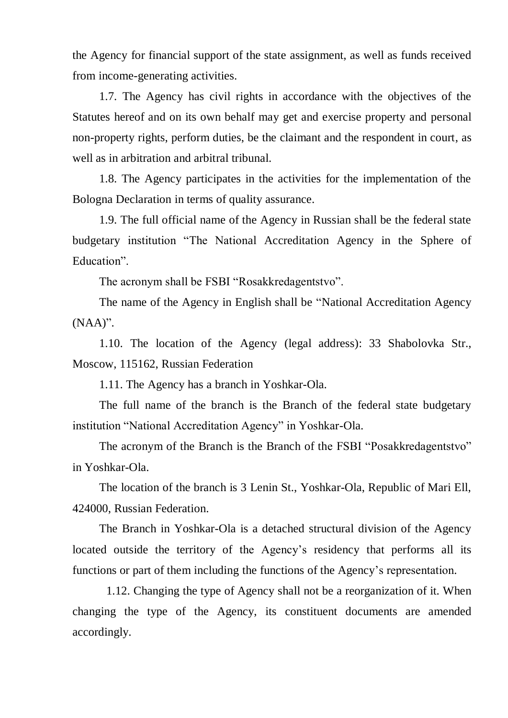the Agency for financial support of the state assignment, as well as funds received from income-generating activities.

1.7. The Agency has civil rights in accordance with the objectives of the Statutes hereof and on its own behalf may get and exercise property and personal non-property rights, perform duties, be the claimant and the respondent in court, as well as in arbitration and arbitral tribunal.

1.8. The Agency participates in the activities for the implementation of the Bologna Declaration in terms of quality assurance.

1.9. The full official name of the Agency in Russian shall be the federal state budgetary institution "The National Accreditation Agency in the Sphere of Education".

The acronym shall be FSBI "Rosakkredagentstvo".

The name of the Agency in English shall be "National Accreditation Agency (NAA)".

1.10. The location of the Agency (legal address): 33 Shabolovka Str., Moscow, 115162, Russian Federation

1.11. The Agency has a branch in Yoshkar-Ola.

The full name of the branch is the Branch of the federal state budgetary institution "National Accreditation Agency" in Yoshkar-Ola.

The acronym of the Branch is the Branch of the FSBI "Posakkredagentstvo" in Yoshkar-Ola.

The location of the branch is 3 Lenin St., Yoshkar-Ola, Republic of Mari Ell, 424000, Russian Federation.

The Branch in Yoshkar-Ola is a detached structural division of the Agency located outside the territory of the Agency's residency that performs all its functions or part of them including the functions of the Agency's representation.

1.12. Changing the type of Agency shall not be a reorganization of it. When changing the type of the Agency, its constituent documents are amended accordingly.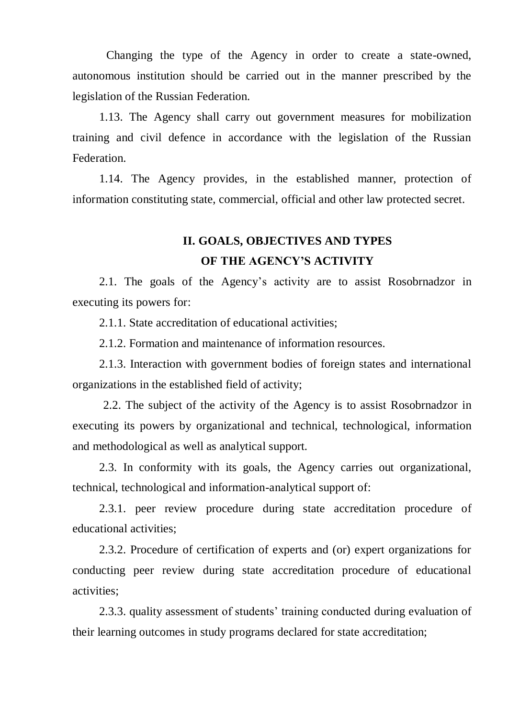Changing the type of the Agency in order to create a state-owned, autonomous institution should be carried out in the manner prescribed by the legislation of the Russian Federation.

1.13. The Agency shall carry out government measures for mobilization training and civil defence in accordance with the legislation of the Russian **Federation** 

1.14. The Agency provides, in the established manner, protection of information constituting state, commercial, official and other law protected secret.

## **II. GOALS, OBJECTIVES AND TYPES OF THE AGENCY'S ACTIVITY**

2.1. The goals of the Agency's activity are to assist Rosobrnadzor in executing its powers for:

2.1.1. State accreditation of educational activities;

2.1.2. Formation and maintenance of information resources.

2.1.3. Interaction with government bodies of foreign states and international organizations in the established field of activity;

2.2. The subject of the activity of the Agency is to assist Rosobrnadzor in executing its powers by organizational and technical, [technological,](https://context.reverso.net/%D0%BF%D0%B5%D1%80%D0%B5%D0%B2%D0%BE%D0%B4/%D0%B0%D0%BD%D0%B3%D0%BB%D0%B8%D0%B9%D1%81%D0%BA%D0%B8%D0%B9-%D1%80%D1%83%D1%81%D1%81%D0%BA%D0%B8%D0%B9/technological) information and methodological as well as analytical support.

2.3. In conformity with its goals, the Agency carries out organizational, technical, technological and information-analytical support of:

2.3.1. peer review procedure during state accreditation procedure of educational activities;

2.3.2. Procedure of certification of experts and (or) expert organizations for conducting peer review during state accreditation procedure of educational activities;

2.3.3. quality assessment of students' training conducted during evaluation of their learning outcomes in study programs declared for state accreditation;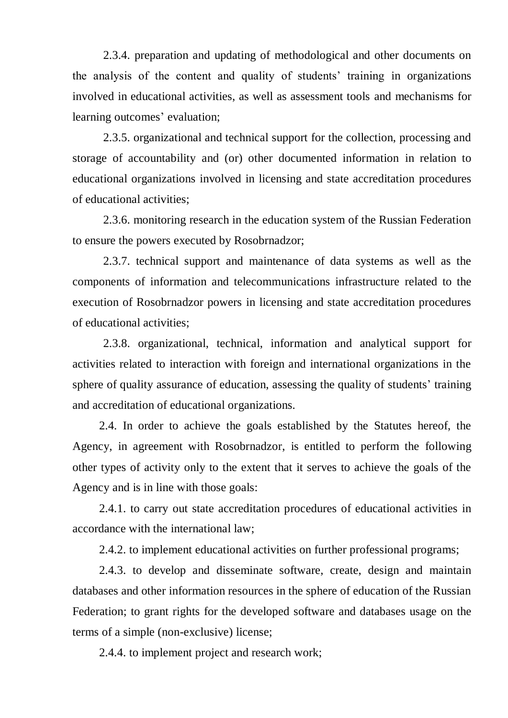2.3.4. preparation and updating of methodological and other documents on the analysis of the content and quality of students' training in organizations involved in educational activities, as well as assessment tools and mechanisms for learning outcomes' evaluation;

2.3.5. organizational and technical support for the collection, processing and storage of accountability and (or) other documented information in relation to educational organizations involved in licensing and state accreditation procedures of educational activities;

2.3.6. monitoring research in the education system of the Russian Federation to ensure the powers executed by Rosobrnadzor;

2.3.7. technical support and maintenance of data systems as well as the components of [information and telecommunications infrastructure](https://context.reverso.net/%D0%BF%D0%B5%D1%80%D0%B5%D0%B2%D0%BE%D0%B4/%D0%B0%D0%BD%D0%B3%D0%BB%D0%B8%D0%B9%D1%81%D0%BA%D0%B8%D0%B9-%D1%80%D1%83%D1%81%D1%81%D0%BA%D0%B8%D0%B9/information+and+telecommunications+infrastructure) related to the execution of Rosobrnadzor powers in licensing and state accreditation procedures of educational activities;

2.3.8. organizational, technical, information and analytical support for activities related to interaction with foreign and international organizations in the sphere of quality assurance of education, assessing the quality of students' training and accreditation of educational organizations.

2.4. In order to achieve the goals established by the Statutes hereof, the Agency, in agreement with Rosobrnadzor, is entitled to perform the following other types of activity only to the extent that it serves to achieve the goals of the Agency and is in line with those goals:

2.4.1. to carry out state accreditation procedures of educational activities in accordance with the international law;

2.4.2. to implement educational activities on further professional programs;

2.4.3. to develop and disseminate software, create, design and maintain databases and other information resources in the sphere of education of the Russian Federation; to grant rights for the developed software and databases usage on the terms of a simple (non-exclusive) license;

2.4.4. to implement project and research work;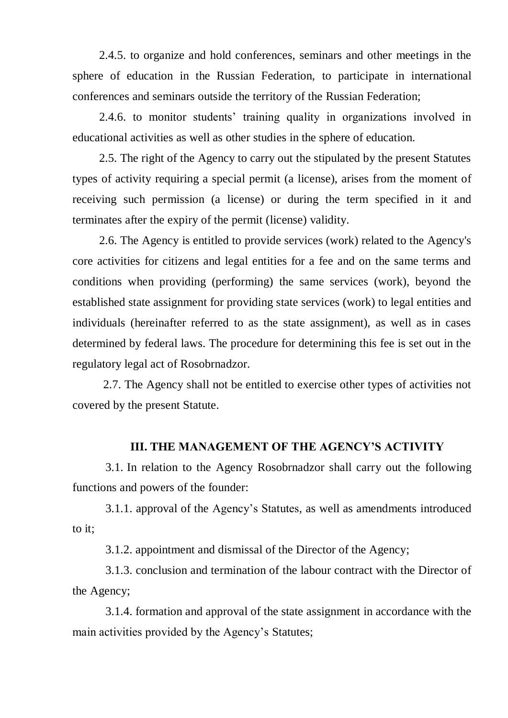2.4.5. to organize and hold conferences, seminars and other meetings in the sphere of education in the Russian Federation, to participate in international conferences and seminars outside the territory of the Russian Federation;

2.4.6. to monitor students' training quality in organizations involved in educational activities as well as other studies in the sphere of education.

2.5. The right of the Agency to carry out the stipulated by the present Statutes types of activity requiring a special permit (a license), arises from the moment of receiving such permission (a license) or during the term specified in it and terminates after the expiry of the permit (license) validity.

2.6. The Agency is entitled to provide services (work) related to the Agency's core activities for citizens and legal entities for a fee and on the same terms and conditions when providing (performing) the same services (work), beyond the established state assignment for providing state services (work) to legal entities and individuals (hereinafter referred to as the state assignment), as well as in cases determined by federal laws. The procedure for determining this fee is set out in the regulatory legal act of Rosobrnadzor.

2.7. The Agency shall not be entitled to exercise other types of activities not covered by the present Statute.

### **III. THE MANAGEMENT OF THE AGENCY'S ACTIVITY**

3.1. In relation to the Agency Rosobrnadzor shall carry out the following functions and powers of the founder:

3.1.1. approval of the Agency's Statutes, as well as amendments introduced to it;

3.1.2. appointment and dismissal of the Director of the Agency;

3.1.3. conclusion and termination of the labour contract with the Director of the Agency;

3.1.4. formation and approval of the state assignment in accordance with the main activities provided by the Agency's Statutes;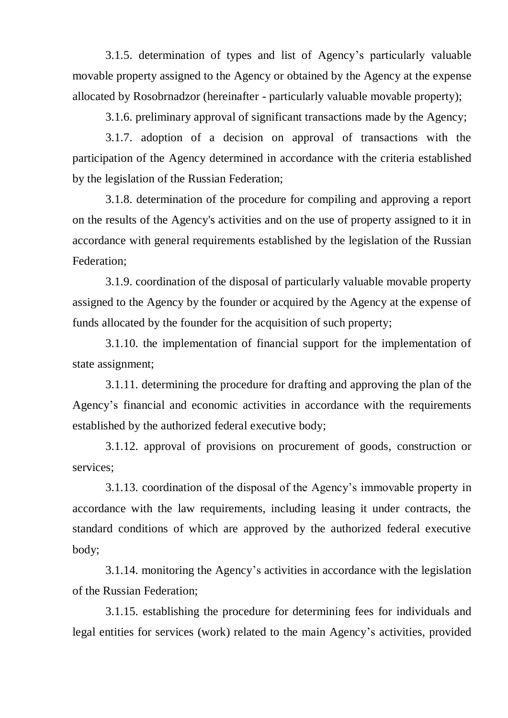3.1.5. determination of types and list of Agency's particularly valuable movable property assigned to the Agency or obtained by the Agency at the expense allocated by Rosobrnadzor (hereinafter - particularly valuable movable property);

3.1.6. preliminary approval of [significant transactions](https://context.reverso.net/%D0%BF%D0%B5%D1%80%D0%B5%D0%B2%D0%BE%D0%B4/%D0%B0%D0%BD%D0%B3%D0%BB%D0%B8%D0%B9%D1%81%D0%BA%D0%B8%D0%B9-%D1%80%D1%83%D1%81%D1%81%D0%BA%D0%B8%D0%B9/significant+transactions) made by the Agency;

3.1.7. adoption of a decision on approval of transactions with the participation of the Agency determined in accordance with the criteria established by the legislation of the Russian Federation;

3.1.8. determination of the procedure for compiling and approving a report on the results of the Agency's activities and on the use of property assigned to it in accordance with general requirements established by the legislation of the Russian Federation;

3.1.9. coordination of the disposal of particularly valuable movable property assigned to the Agency by the founder or acquired by the Agency at the expense of funds allocated by the founder for the acquisition of such property;

3.1.10. the implementation of financial support for the implementation of state assignment;

3.1.11. determining the procedure for drafting and approving the plan of the Agency's financial and economic activities in accordance with the requirements established by the authorized federal executive body;

3.1.12. approval of [provisions on procurement of goods,](https://context.reverso.net/%D0%BF%D0%B5%D1%80%D0%B5%D0%B2%D0%BE%D0%B4/%D0%B0%D0%BD%D0%B3%D0%BB%D0%B8%D0%B9%D1%81%D0%BA%D0%B8%D0%B9-%D1%80%D1%83%D1%81%D1%81%D0%BA%D0%B8%D0%B9/provisions+on+procurement+of+goods) construction or services;

3.1.13. coordination of the [disposal of the Agency's immovable property](https://context.reverso.net/%D0%BF%D0%B5%D1%80%D0%B5%D0%B2%D0%BE%D0%B4/%D0%B0%D0%BD%D0%B3%D0%BB%D0%B8%D0%B9%D1%81%D0%BA%D0%B8%D0%B9-%D1%80%D1%83%D1%81%D1%81%D0%BA%D0%B8%D0%B9/disposal+of+immovable+property) in accordance with the law requirements, including leasing it under contracts, the standard conditions of which are approved by the authorized federal executive body;

3.1.14. monitoring the Agency's activities in accordance with the legislation of the Russian Federation;

3.1.15. establishing the procedure for determining fees for individuals and legal entities for services (work) related to the main Agency's activities, provided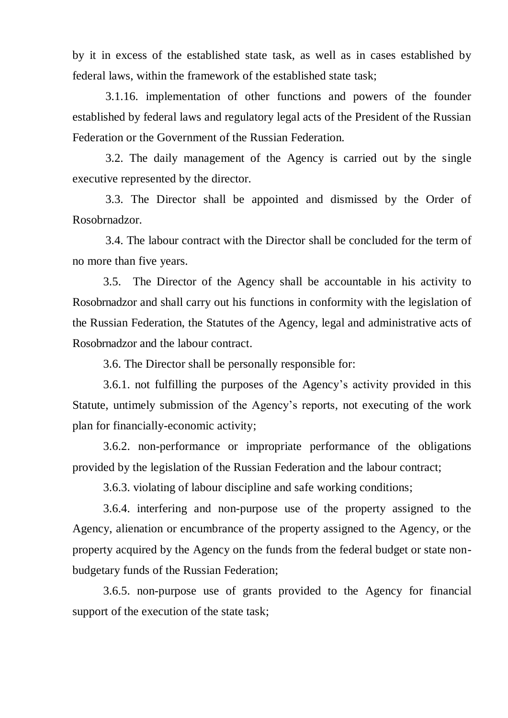by it in excess of the established state task, as well as in cases established by federal laws, within the framework of the established state task;

3.1.16. implementation of other functions and powers of the founder established by federal laws and regulatory legal acts of the President of the Russian Federation or the Government of the Russian Federation.

3.2. The daily management of the Agency is carried out by the single executive represented by the director.

3.3. The Director shall be appointed and dismissed by the Order of Rosobrnadzor.

3.4. The labour contract with the Director shall be concluded for the term of no more than five years.

3.5. The Director of the Agency shall be accountable in his activity to Rosobrnadzor and shall carry out his functions in conformity with the legislation of the Russian Federation, the Statutes of the Agency, legal and administrative acts of Rosobrnadzor and the labour contract.

3.6. The Director shall be personally responsible for:

3.6.1. not fulfilling the purposes of the Agency's activity provided in this Statute, untimely submission of the Agency's reports, not executing of the work plan for [financially-economic activity;](https://context.reverso.net/%D0%BF%D0%B5%D1%80%D0%B5%D0%B2%D0%BE%D0%B4/%D0%B0%D0%BD%D0%B3%D0%BB%D0%B8%D0%B9%D1%81%D0%BA%D0%B8%D0%B9-%D1%80%D1%83%D1%81%D1%81%D0%BA%D0%B8%D0%B9/financially-economic+activity)

3.6.2. non-performance or impropriate performance of the obligations provided by the legislation of the Russian Federation and the labour contract;

3.6.3. violating of labour discipline and safe working conditions;

3.6.4. interfering and non-purpose use of the property assigned to the Agency, alienation or encumbrance of the property assigned to the Agency, or the property acquired by the Agency on the funds from the federal budget or state nonbudgetary funds of the Russian Federation;

3.6.5. non-purpose use of grants provided to the Agency for financial support of the execution of the state task;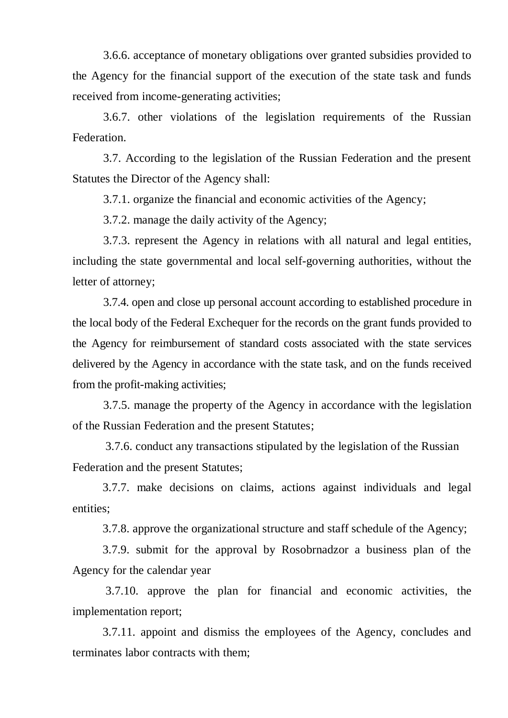3.6.6. acceptance of monetary obligations over granted subsidies provided to the Agency for the financial support of the execution of the state task and funds received from income-generating activities;

3.6.7. other violations of the legislation requirements of the Russian Federation.

3.7. According to the legislation of the Russian Federation and the present Statutes the Director of the Agency shall:

3.7.1. organize the financial and economic activities of the Agency;

3.7.2. manage the daily activity of the Agency;

3.7.3. represent the Agency in relations with all natural and legal entities, including the state governmental and local self-governing authorities, without the letter of attorney;

3.7.4. open and close up personal account according to established procedure in the local body of the Federal Exchequer for the records on the grant funds provided to the Agency for reimbursement of standard costs associated with the state services delivered by the Agency in accordance with the state task, and on the funds received from the profit-making activities;

3.7.5. manage the property of the Agency in accordance with the legislation of the Russian Federation and the present Statutes;

3.7.6. conduct any transactions stipulated by the legislation of the Russian Federation and the present Statutes;

3.7.7. make decisions on claims, actions against individuals and legal entities;

3.7.8. approve the organizational structure and staff schedule of the Agency;

3.7.9. submit for the approval by Rosobrnadzor a business plan of the Agency for the calendar year

3.7.10. approve the plan for financial and economic activities, the implementation report;

3.7.11. appoint and dismiss the employees of the Agency, concludes and terminates labor contracts with them;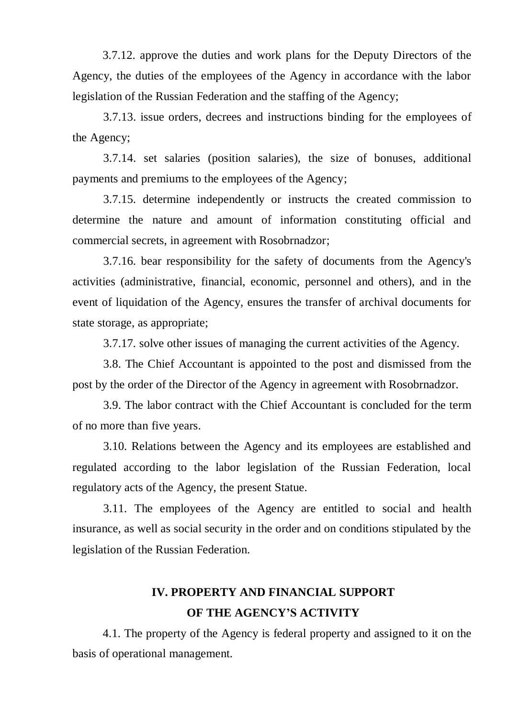3.7.12. approve the duties and work plans for the Deputy Directors of the Agency, the duties of the employees of the Agency in accordance with the labor legislation of the Russian Federation and the staffing of the Agency;

3.7.13. issue orders, decrees and instructions binding for the employees of the Agency;

3.7.14. set salaries (position salaries), the size of bonuses, additional payments and premiums to the employees of the Agency;

3.7.15. determine independently or instructs the created commission to determine the nature and amount of information constituting official and commercial secrets, in agreement with Rosobrnadzor;

3.7.16. bear responsibility for the safety of documents from the Agency's activities (administrative, financial, economic, personnel and others), and in the event of liquidation of the Agency, ensures the transfer of archival documents for state storage, as appropriate;

3.7.17. solve other issues of managing the current activities of the Agency.

3.8. The Chief Accountant is appointed to the post and dismissed from the post by the order of the Director of the Agency in agreement with Rosobrnadzor.

3.9. The labor contract with the Chief Accountant is concluded for the term of no more than five years.

3.10. Relations between the Agency and its employees are established and regulated according to the labor legislation of the Russian Federation, local regulatory acts of the Agency, the present Statue.

3.11. The employees of the Agency are entitled to social and health insurance, as well as social security in the order and on conditions stipulated by the legislation of the Russian Federation.

### **IV. PROPERTY AND FINANCIAL SUPPORT OF THE AGENCY'S ACTIVITY**

4.1. The property of the Agency is federal property and assigned to it on the basis of operational management.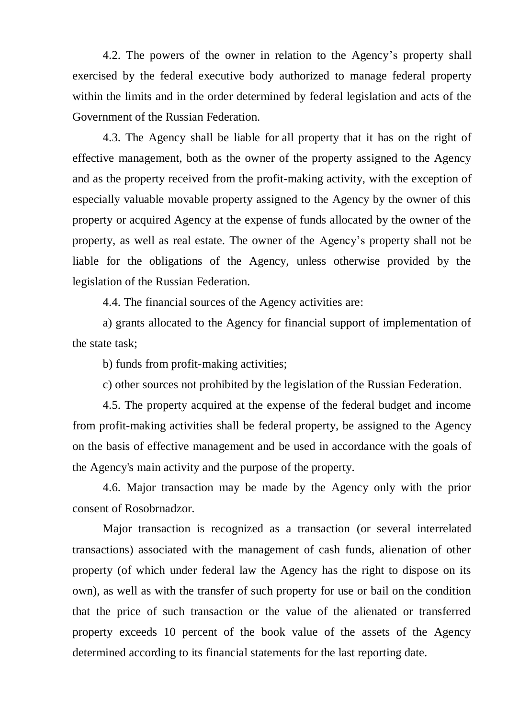4.2. The powers of the owner in relation to the Agency's property shall exercised by the federal executive body authorized to manage federal property within the limits and in the order determined by federal legislation and acts of the Government of the Russian Federation.

4.3. The Agency [shall be liable for](https://context.reverso.net/%D0%BF%D0%B5%D1%80%D0%B5%D0%B2%D0%BE%D0%B4/%D0%B0%D0%BD%D0%B3%D0%BB%D0%B8%D0%B9%D1%81%D0%BA%D0%B8%D0%B9-%D1%80%D1%83%D1%81%D1%81%D0%BA%D0%B8%D0%B9/shall+be+liable+for) all property that it has on the right of effective management, both as the owner of the property assigned to the Agency and as the property received from the profit-making activity, with the exception of especially valuable movable property assigned to the Agency by the owner of this property or acquired Agency at the expense of funds allocated by the owner of the property, as well as real estate. The owner of the Agency's property shall not be liable for the obligations of the Agency, unless otherwise provided by the legislation of the Russian Federation.

4.4. The financial sources of the Agency activities are:

a) grants allocated to the Agency for financial support of implementation of the state task;

b) funds from profit-making activities;

c) other sources not prohibited by the legislation of the Russian Federation.

4.5. The property acquired at the expense of the federal budget and income from profit-making activities shall be federal property, be assigned to the Agency on the basis of effective management and be used in accordance with the goals of the Agency's main activity and the purpose of the property.

4.6. Major transaction may be made by the Agency only with the prior consent of Rosobrnadzor.

Major transaction is recognized as a transaction (or several interrelated transactions) associated with the management of cash funds, alienation of other property (of which under federal law the Agency has the right to dispose on its own), as well as with the transfer of such property for use or bail on the condition that the price of such transaction or the value of the alienated or transferred property exceeds 10 percent of the book value of the assets of the Agency determined according to its financial statements for the last reporting date.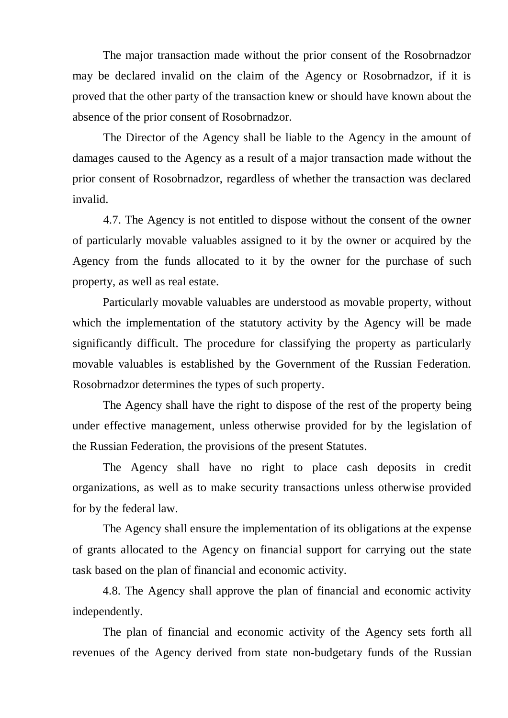The major transaction made without the prior consent of the Rosobrnadzor may be declared invalid on the claim of the Agency or Rosobrnadzor, if it is proved that the other party of the transaction knew or should have known about the absence of the prior consent of Rosobrnadzor.

The Director of the Agency shall be liable to the Agency in the amount of damages caused to the Agency as a result of a major transaction made without the prior consent of Rosobrnadzor, regardless of whether the transaction was declared invalid.

4.7. The Agency is not entitled to dispose without the consent of the owner of particularly movable valuables assigned to it by the owner or acquired by the Agency from the funds allocated to it by the owner for the purchase of such property, as well as real estate.

Particularly movable valuables are understood as movable property, without which the implementation of the statutory activity by the Agency will be made significantly difficult. The procedure for classifying the property as particularly movable valuables is established by the Government of the Russian Federation. Rosobrnadzor determines the types of such property.

The Agency shall have the right to dispose of the rest of the property being under effective management, unless otherwise provided for by the legislation of the Russian Federation, the provisions of the present Statutes.

The Agency shall have no right to place cash deposits in credit organizations, as well as to make security transactions unless otherwise provided for by the federal law.

The Agency shall ensure the implementation of its obligations at the expense of grants allocated to the Agency on financial support for carrying out the state task based on the plan of financial and economic activity.

4.8. The Agency shall approve the plan of financial and economic activity independently.

The plan of financial and economic activity of the Agency sets forth all revenues of the Agency derived from state non-budgetary funds of the Russian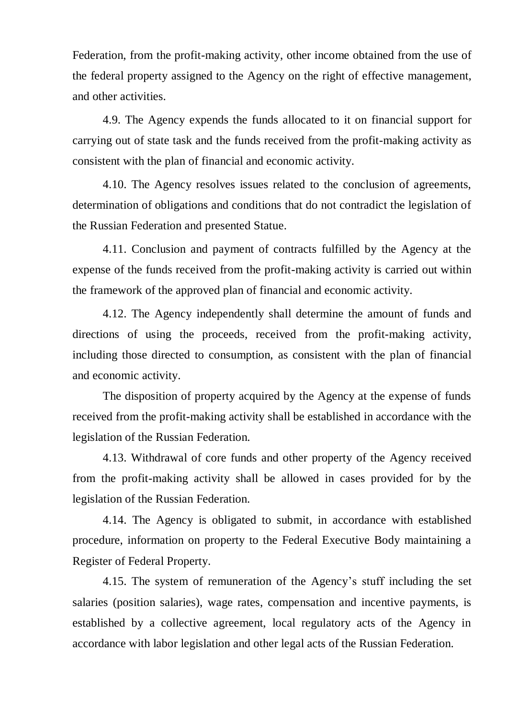Federation, from the profit-making activity, other income obtained from the use of the federal property assigned to the Agency on the right of effective management, and other activities.

4.9. The Agency expends the funds allocated to it on financial support for carrying out of state task and the funds received from the profit-making activity as consistent with the plan of financial and economic activity.

4.10. The Agency resolves issues related to the conclusion of agreements, determination of obligations and conditions that do not contradict the legislation of the Russian Federation and presented Statue.

4.11. Conclusion and payment of contracts fulfilled by the Agency at the expense of the funds received from the profit-making activity is carried out within the framework of the approved plan of financial and economic activity.

4.12. The Agency independently shall determine the amount of funds and directions of using the proceeds, received from the profit-making activity, including those directed to consumption, as consistent with the plan of financial and economic activity.

The disposition of property acquired by the Agency at the expense of funds received from the profit-making activity shall be established in accordance with the legislation of the Russian Federation.

4.13. Withdrawal of core funds and other property of the Agency received from the profit-making activity shall be allowed in cases provided for by the legislation of the Russian Federation.

4.14. The Agency is obligated to submit, in accordance with established procedure, information on property to the Federal Executive Body maintaining a Register of Federal Property.

4.15. The system of remuneration of the Agency's stuff including the set salaries (position salaries), wage rates, compensation and incentive payments, is established by a collective agreement, local regulatory acts of the Agency in accordance with labor legislation and other legal acts of the Russian Federation.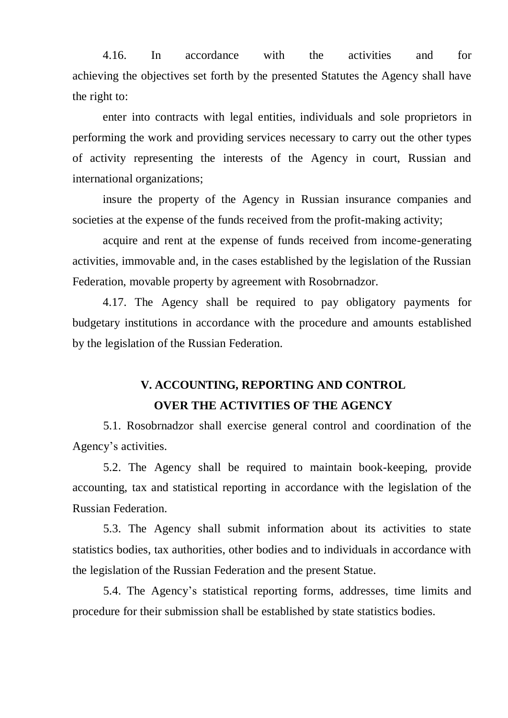4.16. In accordance with the activities and for achieving the objectives set forth by the presented Statutes the Agency shall have the right to:

enter into contracts with legal entities, individuals and sole proprietors in performing the work and providing services necessary to carry out the other types of activity representing the interests of the Agency in court, Russian and international organizations;

insure the property of the Agency in Russian insurance companies and societies at the expense of the funds received from the profit-making activity;

acquire and rent at the expense of funds received from income-generating activities, immovable and, in the cases established by the legislation of the Russian Federation, movable property by agreement with Rosobrnadzor.

4.17. The Agency shall be required to pay obligatory payments for budgetary institutions in accordance with the procedure and amounts established by the legislation of the Russian Federation.

### **V. ACCOUNTING, REPORTING AND CONTROL OVER THE ACTIVITIES OF THE AGENCY**

5.1. Rosobrnadzor shall exercise general control and coordination of the Agency's activities.

5.2. The Agency shall be required to maintain book-keeping, provide accounting, tax and statistical reporting in accordance with the legislation of the Russian Federation.

5.3. The Agency shall submit information about its activities to state statistics bodies, tax authorities, other bodies and to individuals in accordance with the legislation of the Russian Federation and the present Statue.

5.4. The Agency's statistical reporting forms, addresses, time limits and procedure for their submission shall be established by state statistics bodies.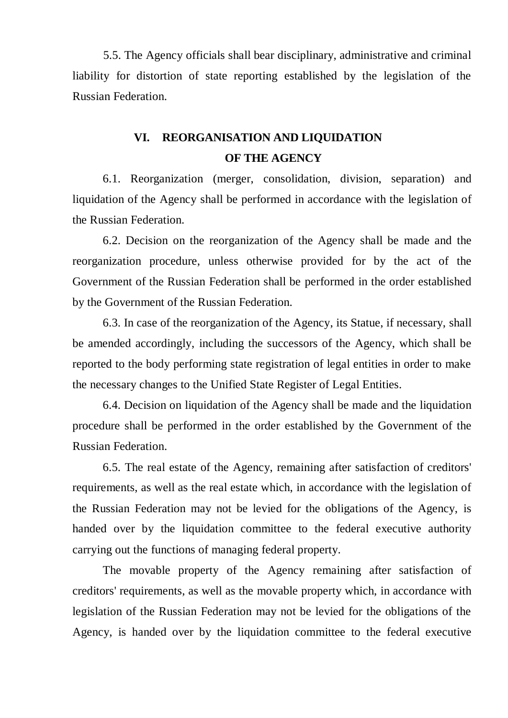5.5. The Agency officials shall bear disciplinary, administrative and criminal liability for distortion of state reporting established by the legislation of the Russian Federation.

## **VI. REORGANISATION AND LIQUIDATION OF THE AGENCY**

6.1. Reorganization (merger, consolidation, division, separation) and liquidation of the Agency shall be performed in accordance with the legislation of the Russian Federation.

6.2. Decision on the reorganization of the Agency shall be made and the reorganization procedure, unless otherwise provided for by the act of the Government of the Russian Federation shall be performed in the order established by the Government of the Russian Federation.

6.3. In case of the reorganization of the Agency, its Statue, if necessary, shall be amended accordingly, including the successors of the Agency, which shall be reported to the body performing state registration of legal entities in order to make the necessary changes to the Unified State Register of Legal Entities.

6.4. Decision on liquidation of the Agency shall be made and the liquidation procedure shall be performed in the order established by the Government of the Russian Federation.

6.5. The real estate of the Agency, remaining after satisfaction of creditors' requirements, as well as the real estate which, in accordance with the legislation of the Russian Federation may not be levied for the obligations of the Agency, is handed over by the liquidation committee to the federal executive authority carrying out the functions of managing federal property.

The movable property of the Agency remaining after satisfaction of creditors' requirements, as well as the movable property which, in accordance with legislation of the Russian Federation may not be levied for the obligations of the Agency, is handed over by the liquidation committee to the federal executive